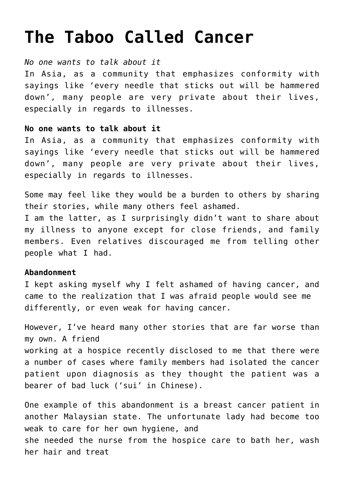# **[The Taboo Called Cancer](https://www.edindings.com/the-taboo-called-cancer/)**

## *No one wants to talk about it*

In Asia, as a community that emphasizes conformity with sayings like 'every needle that sticks out will be hammered down', many people are very private about their lives, especially in regards to illnesses.

## **No one wants to talk about it**

In Asia, as a community that emphasizes conformity with sayings like 'every needle that sticks out will be hammered down', many people are very private about their lives, especially in regards to illnesses.

Some may feel like they would be a burden to others by sharing their stories, while many others feel ashamed. I am the latter, as I surprisingly didn't want to share about my illness to anyone except for close friends, and family members. Even relatives discouraged me from telling other people what I had.

# **Abandonment**

I kept asking myself why I felt ashamed of having cancer, and came to the realization that I was afraid people would see me differently, or even weak for having cancer.

However, I've heard many other stories that are far worse than my own. A friend working at a hospice recently disclosed to me that there were a number of cases where family members had isolated the cancer patient upon diagnosis as they thought the patient was a bearer of bad luck ('sui' in Chinese).

One example of this abandonment is a breast cancer patient in another Malaysian state. The unfortunate lady had become too weak to care for her own hygiene, and she needed the nurse from the hospice care to bath her, wash her hair and treat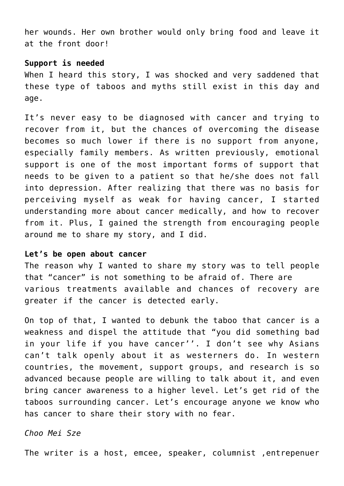her wounds. Her own brother would only bring food and leave it at the front door!

#### **Support is needed**

When I heard this story, I was shocked and very saddened that these type of taboos and myths still exist in this day and age.

It's never easy to be diagnosed with cancer and trying to recover from it, but the chances of overcoming the disease becomes so much lower if there is no support from anyone, especially family members. As written previously, emotional support is one of the most important forms of support that needs to be given to a patient so that he/she does not fall into depression. After realizing that there was no basis for perceiving myself as weak for having cancer, I started understanding more about cancer medically, and how to recover from it. Plus, I gained the strength from encouraging people around me to share my story, and I did.

### **Let's be open about cancer**

The reason why I wanted to share my story was to tell people that "cancer" is not something to be afraid of. There are various treatments available and chances of recovery are greater if the cancer is detected early.

On top of that, I wanted to debunk the taboo that cancer is a weakness and dispel the attitude that "you did something bad in your life if you have cancer''. I don't see why Asians can't talk openly about it as westerners do. In western countries, the movement, support groups, and research is so advanced because people are willing to talk about it, and even bring cancer awareness to a higher level. Let's get rid of the taboos surrounding cancer. Let's encourage anyone we know who has cancer to share their story with no fear.

## *Choo Mei Sze*

The writer is a host, emcee, speaker, columnist ,entrepenuer